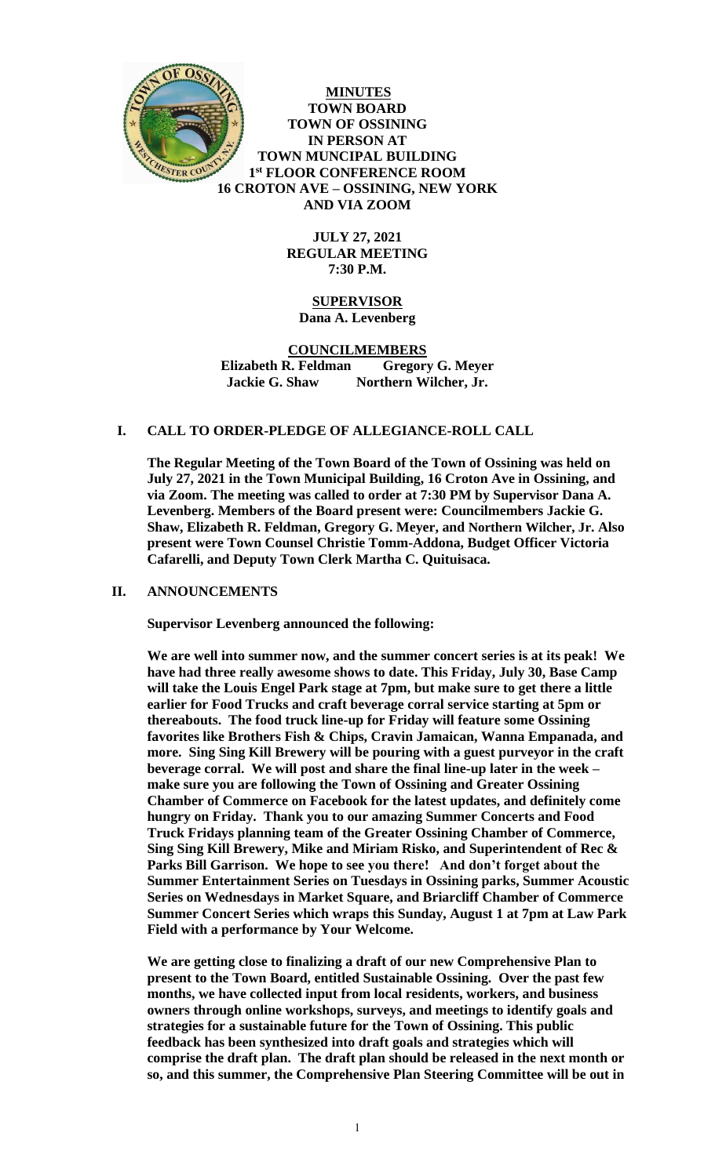

**MINUTES TOWN BOARD TOWN OF OSSINING IN PERSON AT TOWN MUNCIPAL BUILDING 1 st FLOOR CONFERENCE ROOM 16 CROTON AVE – OSSINING, NEW YORK AND VIA ZOOM**

> **JULY 27, 2021 REGULAR MEETING 7:30 P.M.**

# **SUPERVISOR Dana A. Levenberg**

**COUNCILMEMBERS Elizabeth R. Feldman Gregory G. Meyer Jackie G. Shaw Northern Wilcher, Jr.**

## **I. CALL TO ORDER-PLEDGE OF ALLEGIANCE-ROLL CALL**

**The Regular Meeting of the Town Board of the Town of Ossining was held on July 27, 2021 in the Town Municipal Building, 16 Croton Ave in Ossining, and via Zoom. The meeting was called to order at 7:30 PM by Supervisor Dana A. Levenberg. Members of the Board present were: Councilmembers Jackie G. Shaw, Elizabeth R. Feldman, Gregory G. Meyer, and Northern Wilcher, Jr. Also present were Town Counsel Christie Tomm-Addona, Budget Officer Victoria Cafarelli, and Deputy Town Clerk Martha C. Quituisaca.**

#### **II. ANNOUNCEMENTS**

**Supervisor Levenberg announced the following:**

**We are well into summer now, and the summer concert series is at its peak! We have had three really awesome shows to date. This Friday, July 30, Base Camp will take the Louis Engel Park stage at 7pm, but make sure to get there a little earlier for Food Trucks and craft beverage corral service starting at 5pm or thereabouts. The food truck line-up for Friday will feature some Ossining favorites like Brothers Fish & Chips, Cravin Jamaican, Wanna Empanada, and more. Sing Sing Kill Brewery will be pouring with a guest purveyor in the craft beverage corral. We will post and share the final line-up later in the week – make sure you are following the Town of Ossining and Greater Ossining Chamber of Commerce on Facebook for the latest updates, and definitely come hungry on Friday. Thank you to our amazing Summer Concerts and Food Truck Fridays planning team of the Greater Ossining Chamber of Commerce, Sing Sing Kill Brewery, Mike and Miriam Risko, and Superintendent of Rec & Parks Bill Garrison. We hope to see you there! And don't forget about the Summer Entertainment Series on Tuesdays in Ossining parks, Summer Acoustic Series on Wednesdays in Market Square, and Briarcliff Chamber of Commerce Summer Concert Series which wraps this Sunday, August 1 at 7pm at Law Park Field with a performance by Your Welcome.** 

**We are getting close to finalizing a draft of our new Comprehensive Plan to present to the Town Board, entitled Sustainable Ossining. Over the past few months, we have collected input from local residents, workers, and business owners through online workshops, surveys, and meetings to identify goals and strategies for a sustainable future for the Town of Ossining. This public feedback has been synthesized into draft goals and strategies which will comprise the draft plan. The draft plan should be released in the next month or so, and this summer, the Comprehensive Plan Steering Committee will be out in**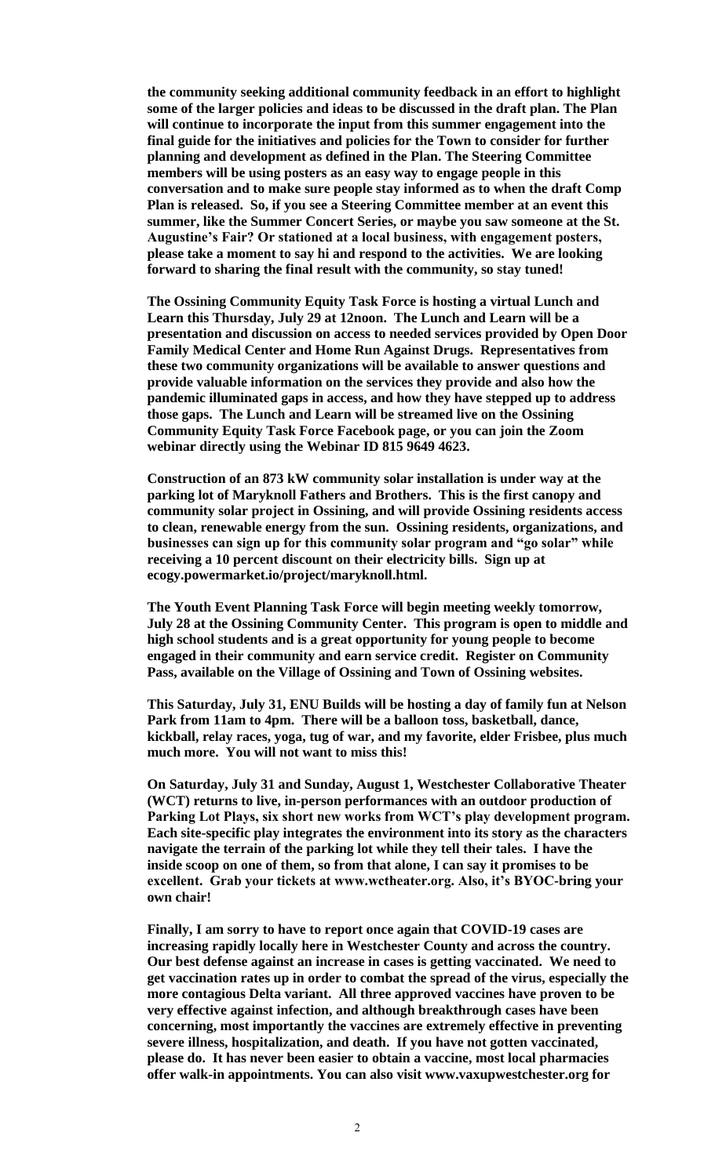**the community seeking additional community feedback in an effort to highlight some of the larger policies and ideas to be discussed in the draft plan. The Plan will continue to incorporate the input from this summer engagement into the final guide for the initiatives and policies for the Town to consider for further planning and development as defined in the Plan. The Steering Committee members will be using posters as an easy way to engage people in this conversation and to make sure people stay informed as to when the draft Comp Plan is released. So, if you see a Steering Committee member at an event this summer, like the Summer Concert Series, or maybe you saw someone at the St. Augustine's Fair? Or stationed at a local business, with engagement posters, please take a moment to say hi and respond to the activities. We are looking forward to sharing the final result with the community, so stay tuned!** 

**The Ossining Community Equity Task Force is hosting a virtual Lunch and Learn this Thursday, July 29 at 12noon. The Lunch and Learn will be a presentation and discussion on access to needed services provided by Open Door Family Medical Center and Home Run Against Drugs. Representatives from these two community organizations will be available to answer questions and provide valuable information on the services they provide and also how the pandemic illuminated gaps in access, and how they have stepped up to address those gaps. The Lunch and Learn will be streamed live on the Ossining Community Equity Task Force Facebook page, or you can join the Zoom webinar directly using the Webinar ID 815 9649 4623.** 

**Construction of an 873 kW community solar installation is under way at the parking lot of Maryknoll Fathers and Brothers. This is the first canopy and community solar project in Ossining, and will provide Ossining residents access to clean, renewable energy from the sun. Ossining residents, organizations, and businesses can sign up for this community solar program and "go solar" while receiving a 10 percent discount on their electricity bills. Sign up at ecogy.powermarket.io/project/maryknoll.html.** 

**The Youth Event Planning Task Force will begin meeting weekly tomorrow, July 28 at the Ossining Community Center. This program is open to middle and high school students and is a great opportunity for young people to become engaged in their community and earn service credit. Register on Community Pass, available on the Village of Ossining and Town of Ossining websites.** 

**This Saturday, July 31, ENU Builds will be hosting a day of family fun at Nelson Park from 11am to 4pm. There will be a balloon toss, basketball, dance, kickball, relay races, yoga, tug of war, and my favorite, elder Frisbee, plus much much more. You will not want to miss this!** 

**On Saturday, July 31 and Sunday, August 1, Westchester Collaborative Theater (WCT) returns to live, in-person performances with an outdoor production of Parking Lot Plays, six short new works from WCT's play development program. Each site-specific play integrates the environment into its story as the characters navigate the terrain of the parking lot while they tell their tales. I have the inside scoop on one of them, so from that alone, I can say it promises to be excellent. Grab your tickets at www.wctheater.org. Also, it's BYOC-bring your own chair!**

**Finally, I am sorry to have to report once again that COVID-19 cases are increasing rapidly locally here in Westchester County and across the country. Our best defense against an increase in cases is getting vaccinated. We need to get vaccination rates up in order to combat the spread of the virus, especially the more contagious Delta variant. All three approved vaccines have proven to be very effective against infection, and although breakthrough cases have been concerning, most importantly the vaccines are extremely effective in preventing severe illness, hospitalization, and death. If you have not gotten vaccinated, please do. It has never been easier to obtain a vaccine, most local pharmacies offer walk-in appointments. You can also visit www.vaxupwestchester.org for**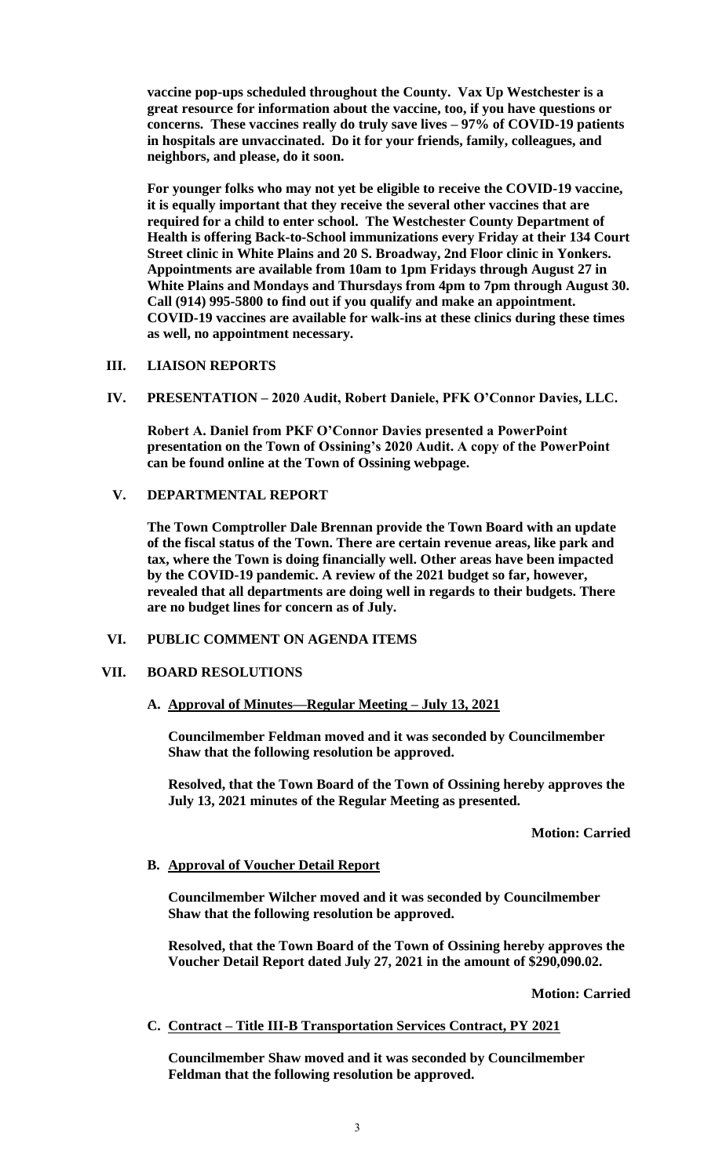**vaccine pop-ups scheduled throughout the County. Vax Up Westchester is a great resource for information about the vaccine, too, if you have questions or concerns. These vaccines really do truly save lives – 97% of COVID-19 patients in hospitals are unvaccinated. Do it for your friends, family, colleagues, and neighbors, and please, do it soon.** 

**For younger folks who may not yet be eligible to receive the COVID-19 vaccine, it is equally important that they receive the several other vaccines that are required for a child to enter school. The Westchester County Department of Health is offering Back-to-School immunizations every Friday at their 134 Court Street clinic in White Plains and 20 S. Broadway, 2nd Floor clinic in Yonkers. Appointments are available from 10am to 1pm Fridays through August 27 in White Plains and Mondays and Thursdays from 4pm to 7pm through August 30. Call (914) 995-5800 to find out if you qualify and make an appointment. COVID-19 vaccines are available for walk-ins at these clinics during these times as well, no appointment necessary.**

## **III. LIAISON REPORTS**

**IV. PRESENTATION – 2020 Audit, Robert Daniele, PFK O'Connor Davies, LLC.**

**Robert A. Daniel from PKF O'Connor Davies presented a PowerPoint presentation on the Town of Ossining's 2020 Audit. A copy of the PowerPoint can be found online at the Town of Ossining webpage.** 

## **V. DEPARTMENTAL REPORT**

**The Town Comptroller Dale Brennan provide the Town Board with an update of the fiscal status of the Town. There are certain revenue areas, like park and tax, where the Town is doing financially well. Other areas have been impacted by the COVID-19 pandemic. A review of the 2021 budget so far, however, revealed that all departments are doing well in regards to their budgets. There are no budget lines for concern as of July.** 

## **VI. PUBLIC COMMENT ON AGENDA ITEMS**

## **VII. BOARD RESOLUTIONS**

## **A. Approval of Minutes—Regular Meeting – July 13, 2021**

**Councilmember Feldman moved and it was seconded by Councilmember Shaw that the following resolution be approved.** 

**Resolved, that the Town Board of the Town of Ossining hereby approves the July 13, 2021 minutes of the Regular Meeting as presented.**

**Motion: Carried**

## **B. Approval of Voucher Detail Report**

**Councilmember Wilcher moved and it was seconded by Councilmember Shaw that the following resolution be approved.** 

**Resolved, that the Town Board of the Town of Ossining hereby approves the Voucher Detail Report dated July 27, 2021 in the amount of \$290,090.02.**

**Motion: Carried**

## **C. Contract – Title III-B Transportation Services Contract, PY 2021**

**Councilmember Shaw moved and it was seconded by Councilmember Feldman that the following resolution be approved.**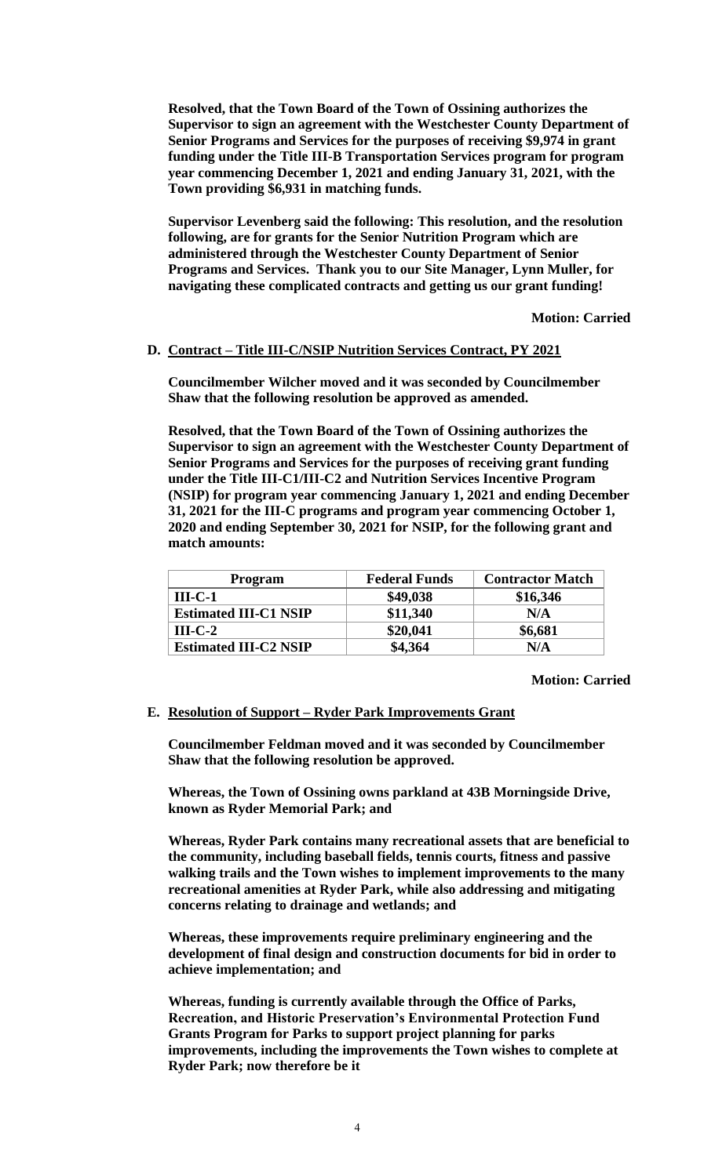**Resolved, that the Town Board of the Town of Ossining authorizes the Supervisor to sign an agreement with the Westchester County Department of Senior Programs and Services for the purposes of receiving \$9,974 in grant funding under the Title III-B Transportation Services program for program year commencing December 1, 2021 and ending January 31, 2021, with the Town providing \$6,931 in matching funds.** 

**Supervisor Levenberg said the following: This resolution, and the resolution following, are for grants for the Senior Nutrition Program which are administered through the Westchester County Department of Senior Programs and Services. Thank you to our Site Manager, Lynn Muller, for navigating these complicated contracts and getting us our grant funding!**

**Motion: Carried**

## **D. Contract – Title III-C/NSIP Nutrition Services Contract, PY 2021**

**Councilmember Wilcher moved and it was seconded by Councilmember Shaw that the following resolution be approved as amended.**

**Resolved, that the Town Board of the Town of Ossining authorizes the Supervisor to sign an agreement with the Westchester County Department of Senior Programs and Services for the purposes of receiving grant funding under the Title III-C1/III-C2 and Nutrition Services Incentive Program (NSIP) for program year commencing January 1, 2021 and ending December 31, 2021 for the III-C programs and program year commencing October 1, 2020 and ending September 30, 2021 for NSIP, for the following grant and match amounts:**

| <b>Program</b>               | <b>Federal Funds</b> | <b>Contractor Match</b> |
|------------------------------|----------------------|-------------------------|
| $III-C-1$                    | \$49,038             | \$16,346                |
| <b>Estimated III-C1 NSIP</b> | \$11,340             | N/A                     |
| $III-C-2$                    | \$20,041             | \$6,681                 |
| <b>Estimated III-C2 NSIP</b> | \$4,364              | N/A                     |

**Motion: Carried**

#### **E. Resolution of Support – Ryder Park Improvements Grant**

**Councilmember Feldman moved and it was seconded by Councilmember Shaw that the following resolution be approved.** 

**Whereas, the Town of Ossining owns parkland at 43B Morningside Drive, known as Ryder Memorial Park; and** 

**Whereas, Ryder Park contains many recreational assets that are beneficial to the community, including baseball fields, tennis courts, fitness and passive walking trails and the Town wishes to implement improvements to the many recreational amenities at Ryder Park, while also addressing and mitigating concerns relating to drainage and wetlands; and**

**Whereas, these improvements require preliminary engineering and the development of final design and construction documents for bid in order to achieve implementation; and**

**Whereas, funding is currently available through the Office of Parks, Recreation, and Historic Preservation's Environmental Protection Fund Grants Program for Parks to support project planning for parks improvements, including the improvements the Town wishes to complete at Ryder Park; now therefore be it**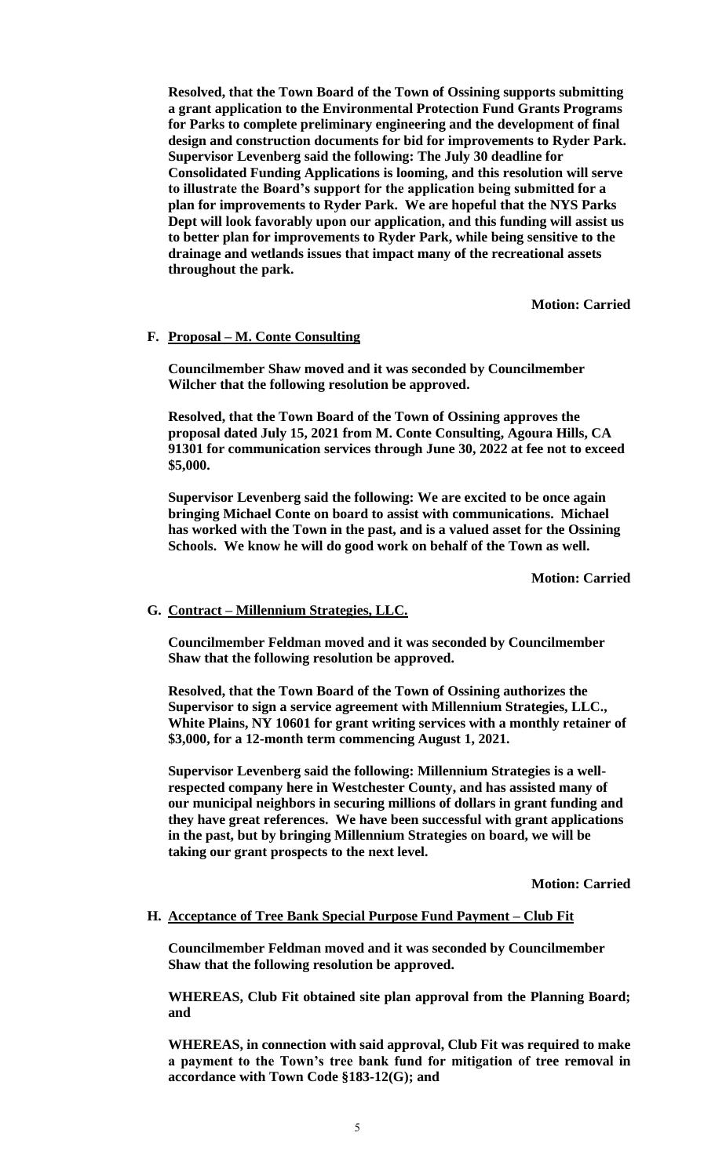**Resolved, that the Town Board of the Town of Ossining supports submitting a grant application to the Environmental Protection Fund Grants Programs for Parks to complete preliminary engineering and the development of final design and construction documents for bid for improvements to Ryder Park. Supervisor Levenberg said the following: The July 30 deadline for Consolidated Funding Applications is looming, and this resolution will serve to illustrate the Board's support for the application being submitted for a plan for improvements to Ryder Park. We are hopeful that the NYS Parks Dept will look favorably upon our application, and this funding will assist us to better plan for improvements to Ryder Park, while being sensitive to the drainage and wetlands issues that impact many of the recreational assets throughout the park.**

**Motion: Carried**

## **F. Proposal – M. Conte Consulting**

**Councilmember Shaw moved and it was seconded by Councilmember Wilcher that the following resolution be approved.** 

**Resolved, that the Town Board of the Town of Ossining approves the proposal dated July 15, 2021 from M. Conte Consulting, Agoura Hills, CA 91301 for communication services through June 30, 2022 at fee not to exceed \$5,000.** 

**Supervisor Levenberg said the following: We are excited to be once again bringing Michael Conte on board to assist with communications. Michael has worked with the Town in the past, and is a valued asset for the Ossining Schools. We know he will do good work on behalf of the Town as well.**

**Motion: Carried**

#### **G. Contract – Millennium Strategies, LLC.**

**Councilmember Feldman moved and it was seconded by Councilmember Shaw that the following resolution be approved.** 

**Resolved, that the Town Board of the Town of Ossining authorizes the Supervisor to sign a service agreement with Millennium Strategies, LLC., White Plains, NY 10601 for grant writing services with a monthly retainer of \$3,000, for a 12-month term commencing August 1, 2021.** 

**Supervisor Levenberg said the following: Millennium Strategies is a wellrespected company here in Westchester County, and has assisted many of our municipal neighbors in securing millions of dollars in grant funding and they have great references. We have been successful with grant applications in the past, but by bringing Millennium Strategies on board, we will be taking our grant prospects to the next level.**

**Motion: Carried**

#### **H. Acceptance of Tree Bank Special Purpose Fund Payment – Club Fit**

**Councilmember Feldman moved and it was seconded by Councilmember Shaw that the following resolution be approved.** 

**WHEREAS, Club Fit obtained site plan approval from the Planning Board; and**

**WHEREAS, in connection with said approval, Club Fit was required to make a payment to the Town's tree bank fund for mitigation of tree removal in accordance with Town Code §183-12(G); and**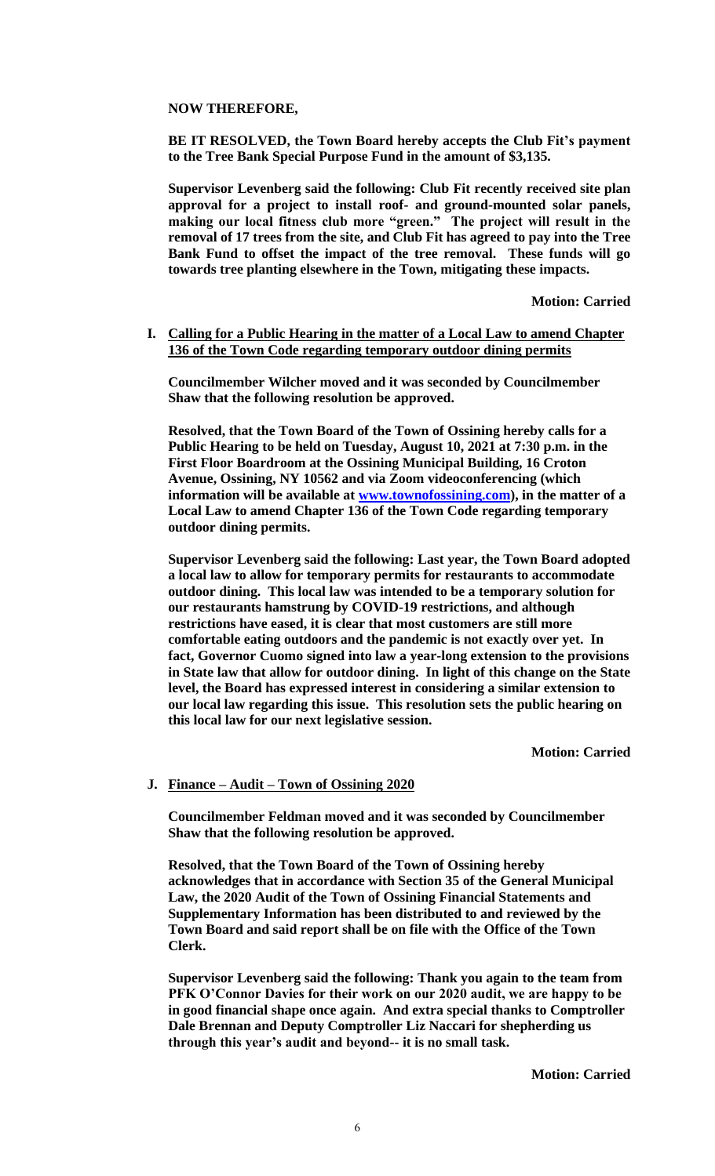## **NOW THEREFORE,**

**BE IT RESOLVED, the Town Board hereby accepts the Club Fit's payment to the Tree Bank Special Purpose Fund in the amount of \$3,135.**

**Supervisor Levenberg said the following: Club Fit recently received site plan approval for a project to install roof- and ground-mounted solar panels, making our local fitness club more "green." The project will result in the removal of 17 trees from the site, and Club Fit has agreed to pay into the Tree Bank Fund to offset the impact of the tree removal. These funds will go towards tree planting elsewhere in the Town, mitigating these impacts.**

**Motion: Carried**

## **I. Calling for a Public Hearing in the matter of a Local Law to amend Chapter 136 of the Town Code regarding temporary outdoor dining permits**

**Councilmember Wilcher moved and it was seconded by Councilmember Shaw that the following resolution be approved.** 

**Resolved, that the Town Board of the Town of Ossining hereby calls for a Public Hearing to be held on Tuesday, August 10, 2021 at 7:30 p.m. in the First Floor Boardroom at the Ossining Municipal Building, 16 Croton Avenue, Ossining, NY 10562 and via Zoom videoconferencing (which information will be available at [www.townofossining.com\)](http://www.townofossining.com/), in the matter of a Local Law to amend Chapter 136 of the Town Code regarding temporary outdoor dining permits.**

**Supervisor Levenberg said the following: Last year, the Town Board adopted a local law to allow for temporary permits for restaurants to accommodate outdoor dining. This local law was intended to be a temporary solution for our restaurants hamstrung by COVID-19 restrictions, and although restrictions have eased, it is clear that most customers are still more comfortable eating outdoors and the pandemic is not exactly over yet. In fact, Governor Cuomo signed into law a year-long extension to the provisions in State law that allow for outdoor dining. In light of this change on the State level, the Board has expressed interest in considering a similar extension to our local law regarding this issue. This resolution sets the public hearing on this local law for our next legislative session.**

**Motion: Carried**

#### **J. Finance – Audit – Town of Ossining 2020**

**Councilmember Feldman moved and it was seconded by Councilmember Shaw that the following resolution be approved.** 

**Resolved, that the Town Board of the Town of Ossining hereby acknowledges that in accordance with Section 35 of the General Municipal Law, the 2020 Audit of the Town of Ossining Financial Statements and Supplementary Information has been distributed to and reviewed by the Town Board and said report shall be on file with the Office of the Town Clerk.** 

**Supervisor Levenberg said the following: Thank you again to the team from PFK O'Connor Davies for their work on our 2020 audit, we are happy to be in good financial shape once again. And extra special thanks to Comptroller Dale Brennan and Deputy Comptroller Liz Naccari for shepherding us through this year's audit and beyond-- it is no small task.**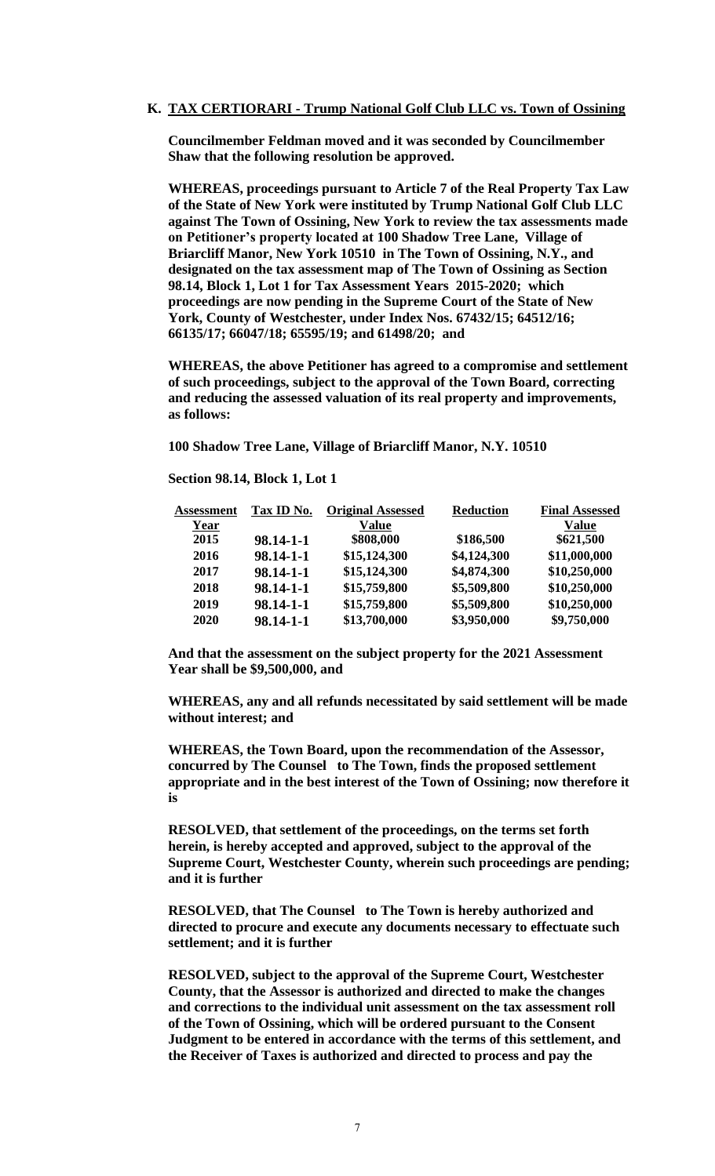#### **K. TAX CERTIORARI - Trump National Golf Club LLC vs. Town of Ossining**

**Councilmember Feldman moved and it was seconded by Councilmember Shaw that the following resolution be approved.** 

**WHEREAS, proceedings pursuant to Article 7 of the Real Property Tax Law of the State of New York were instituted by Trump National Golf Club LLC against The Town of Ossining, New York to review the tax assessments made on Petitioner's property located at 100 Shadow Tree Lane, Village of Briarcliff Manor, New York 10510 in The Town of Ossining, N.Y., and designated on the tax assessment map of The Town of Ossining as Section 98.14, Block 1, Lot 1 for Tax Assessment Years 2015-2020; which proceedings are now pending in the Supreme Court of the State of New York, County of Westchester, under Index Nos. 67432/15; 64512/16; 66135/17; 66047/18; 65595/19; and 61498/20; and** 

**WHEREAS, the above Petitioner has agreed to a compromise and settlement of such proceedings, subject to the approval of the Town Board, correcting and reducing the assessed valuation of its real property and improvements, as follows:**

**100 Shadow Tree Lane, Village of Briarcliff Manor, N.Y. 10510** 

**Section 98.14, Block 1, Lot 1**

| <b>Assessment</b> | Tax ID No.      | <b>Original Assessed</b> | <b>Reduction</b> | <b>Final Assessed</b> |
|-------------------|-----------------|--------------------------|------------------|-----------------------|
| Year              |                 | <b>Value</b>             |                  | <b>Value</b>          |
| 2015              | $98.14 - 1 - 1$ | \$808,000                | \$186,500        | \$621,500             |
| 2016              | 98.14-1-1       | \$15,124,300             | \$4,124,300      | \$11,000,000          |
| 2017              | 98.14-1-1       | \$15,124,300             | \$4,874,300      | \$10,250,000          |
| 2018              | 98.14-1-1       | \$15,759,800             | \$5,509,800      | \$10,250,000          |
| 2019              | 98.14-1-1       | \$15,759,800             | \$5,509,800      | \$10,250,000          |
| 2020              | 98.14-1-1       | \$13,700,000             | \$3,950,000      | \$9,750,000           |

**And that the assessment on the subject property for the 2021 Assessment Year shall be \$9,500,000, and** 

**WHEREAS, any and all refunds necessitated by said settlement will be made without interest; and** 

**WHEREAS, the Town Board, upon the recommendation of the Assessor, concurred by The Counsel to The Town, finds the proposed settlement appropriate and in the best interest of the Town of Ossining; now therefore it is**

**RESOLVED, that settlement of the proceedings, on the terms set forth herein, is hereby accepted and approved, subject to the approval of the Supreme Court, Westchester County, wherein such proceedings are pending; and it is further**

**RESOLVED, that The Counsel to The Town is hereby authorized and directed to procure and execute any documents necessary to effectuate such settlement; and it is further**

**RESOLVED, subject to the approval of the Supreme Court, Westchester County, that the Assessor is authorized and directed to make the changes and corrections to the individual unit assessment on the tax assessment roll of the Town of Ossining, which will be ordered pursuant to the Consent Judgment to be entered in accordance with the terms of this settlement, and the Receiver of Taxes is authorized and directed to process and pay the**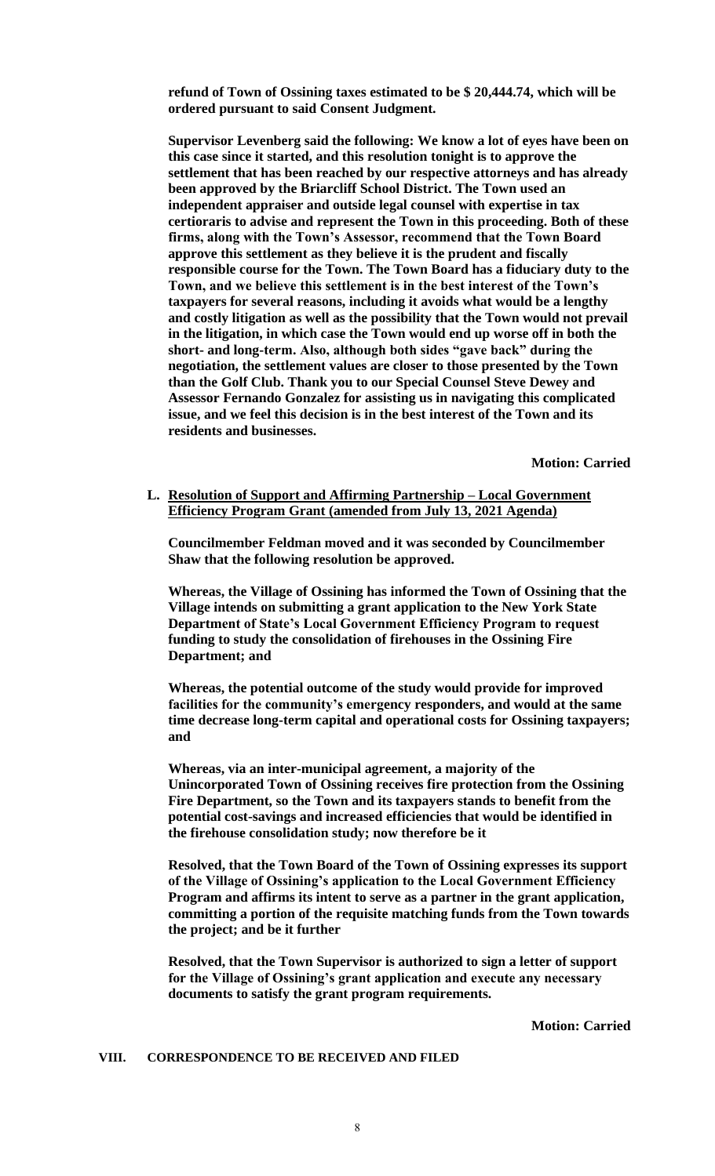**refund of Town of Ossining taxes estimated to be \$ 20,444.74, which will be ordered pursuant to said Consent Judgment.** 

**Supervisor Levenberg said the following: We know a lot of eyes have been on this case since it started, and this resolution tonight is to approve the settlement that has been reached by our respective attorneys and has already been approved by the Briarcliff School District. The Town used an independent appraiser and outside legal counsel with expertise in tax certioraris to advise and represent the Town in this proceeding. Both of these firms, along with the Town's Assessor, recommend that the Town Board approve this settlement as they believe it is the prudent and fiscally responsible course for the Town. The Town Board has a fiduciary duty to the Town, and we believe this settlement is in the best interest of the Town's taxpayers for several reasons, including it avoids what would be a lengthy and costly litigation as well as the possibility that the Town would not prevail in the litigation, in which case the Town would end up worse off in both the short- and long-term. Also, although both sides "gave back" during the negotiation, the settlement values are closer to those presented by the Town than the Golf Club. Thank you to our Special Counsel Steve Dewey and Assessor Fernando Gonzalez for assisting us in navigating this complicated issue, and we feel this decision is in the best interest of the Town and its residents and businesses.** 

**Motion: Carried**

**L. Resolution of Support and Affirming Partnership – Local Government Efficiency Program Grant (amended from July 13, 2021 Agenda)**

**Councilmember Feldman moved and it was seconded by Councilmember Shaw that the following resolution be approved.** 

**Whereas, the Village of Ossining has informed the Town of Ossining that the Village intends on submitting a grant application to the New York State Department of State's Local Government Efficiency Program to request funding to study the consolidation of firehouses in the Ossining Fire Department; and**

**Whereas, the potential outcome of the study would provide for improved facilities for the community's emergency responders, and would at the same time decrease long-term capital and operational costs for Ossining taxpayers; and** 

**Whereas, via an inter-municipal agreement, a majority of the Unincorporated Town of Ossining receives fire protection from the Ossining Fire Department, so the Town and its taxpayers stands to benefit from the potential cost-savings and increased efficiencies that would be identified in the firehouse consolidation study; now therefore be it**

**Resolved, that the Town Board of the Town of Ossining expresses its support of the Village of Ossining's application to the Local Government Efficiency Program and affirms its intent to serve as a partner in the grant application, committing a portion of the requisite matching funds from the Town towards the project; and be it further**

**Resolved, that the Town Supervisor is authorized to sign a letter of support for the Village of Ossining's grant application and execute any necessary documents to satisfy the grant program requirements.**

**Motion: Carried**

#### **VIII. CORRESPONDENCE TO BE RECEIVED AND FILED**